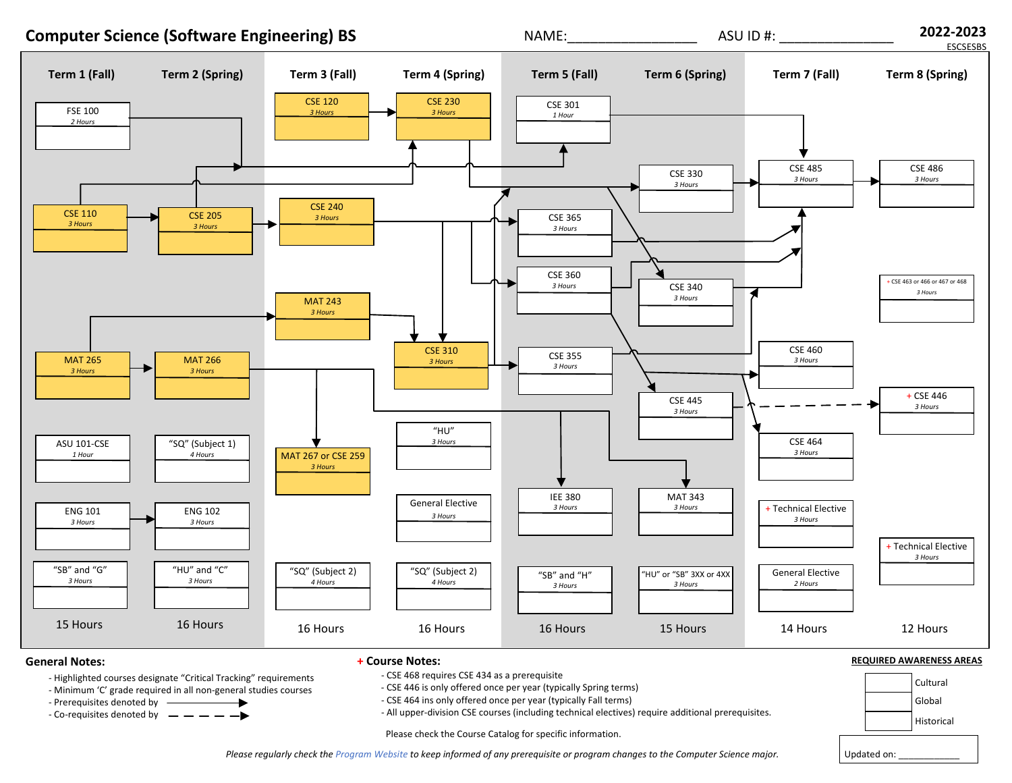

Please regularly check the [Program](https://scai.engineering.asu.edu/computer-science-bs/degree-requirements/) Website to keep informed of any prerequisite or program changes to the Computer Science major.

Updated on: \_\_\_\_\_\_\_\_\_\_\_\_